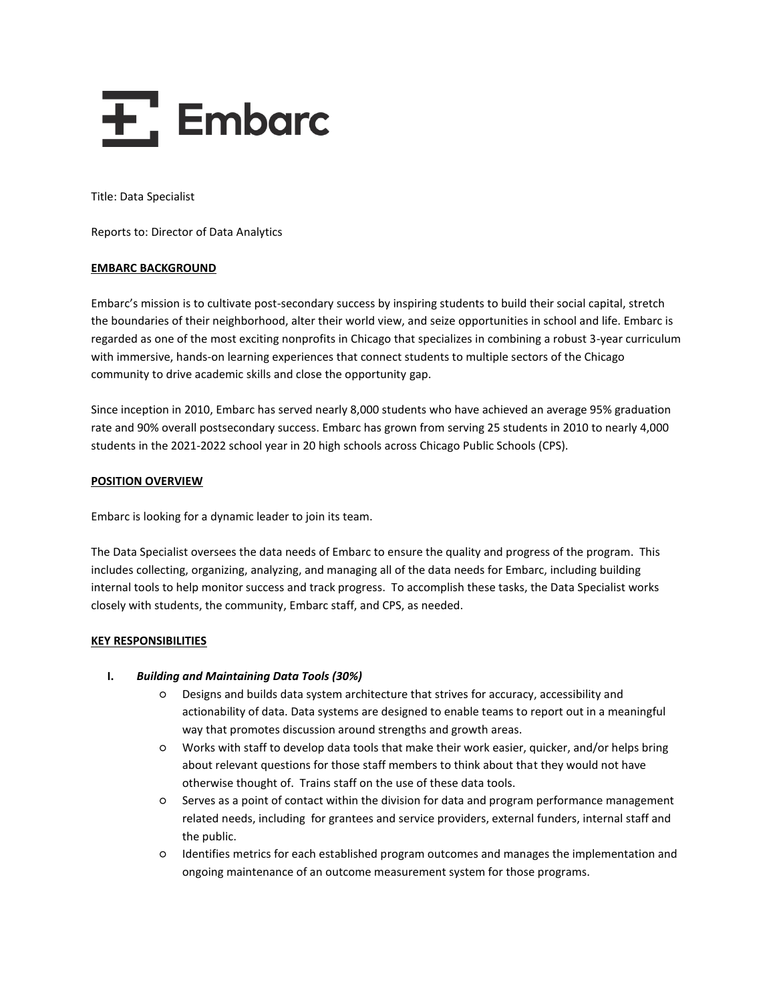# $\overline{+}$ , Embarc

Title: Data Specialist

Reports to: Director of Data Analytics

### **EMBARC BACKGROUND**

Embarc's mission is to cultivate post-secondary success by inspiring students to build their social capital, stretch the boundaries of their neighborhood, alter their world view, and seize opportunities in school and life. Embarc is regarded as one of the most exciting nonprofits in Chicago that specializes in combining a robust 3-year curriculum with immersive, hands-on learning experiences that connect students to multiple sectors of the Chicago community to drive academic skills and close the opportunity gap.

Since inception in 2010, Embarc has served nearly 8,000 students who have achieved an average 95% graduation rate and 90% overall postsecondary success. Embarc has grown from serving 25 students in 2010 to nearly 4,000 students in the 2021-2022 school year in 20 high schools across Chicago Public Schools (CPS).

## **POSITION OVERVIEW**

Embarc is looking for a dynamic leader to join its team.

The Data Specialist oversees the data needs of Embarc to ensure the quality and progress of the program. This includes collecting, organizing, analyzing, and managing all of the data needs for Embarc, including building internal tools to help monitor success and track progress. To accomplish these tasks, the Data Specialist works closely with students, the community, Embarc staff, and CPS, as needed.

#### **KEY RESPONSIBILITIES**

## **I.** *Building and Maintaining Data Tools (30%)*

- Designs and builds data system architecture that strives for accuracy, accessibility and actionability of data. Data systems are designed to enable teams to report out in a meaningful way that promotes discussion around strengths and growth areas.
- Works with staff to develop data tools that make their work easier, quicker, and/or helps bring about relevant questions for those staff members to think about that they would not have otherwise thought of. Trains staff on the use of these data tools.
- Serves as a point of contact within the division for data and program performance management related needs, including for grantees and service providers, external funders, internal staff and the public.
- Identifies metrics for each established program outcomes and manages the implementation and ongoing maintenance of an outcome measurement system for those programs.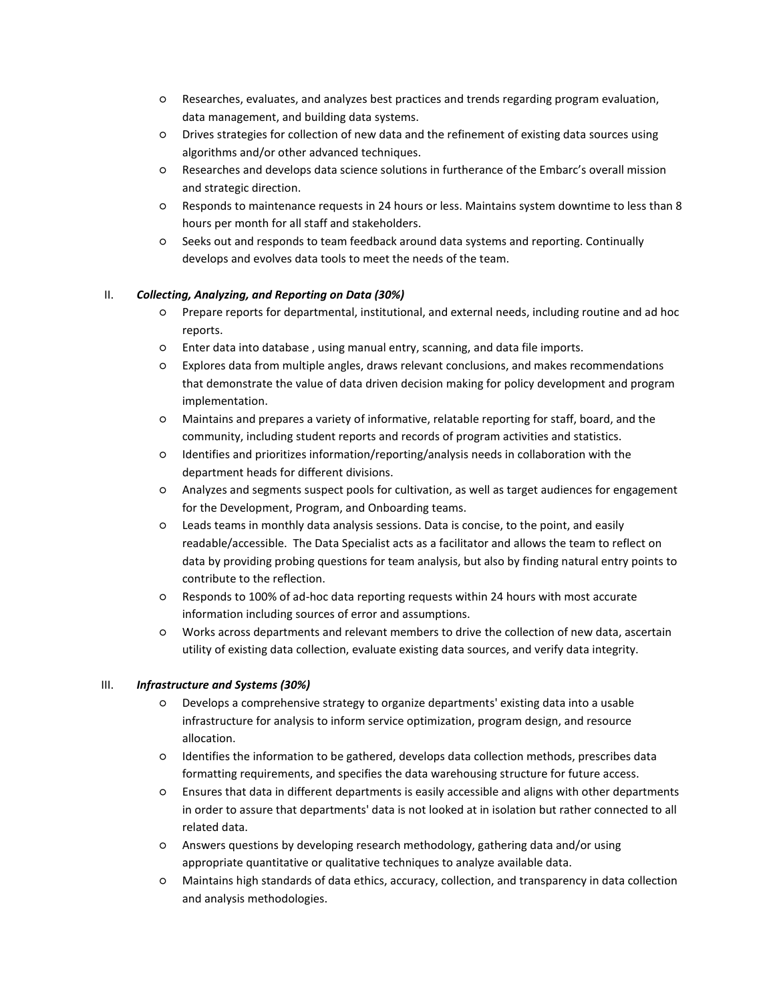- Researches, evaluates, and analyzes best practices and trends regarding program evaluation, data management, and building data systems.
- Drives strategies for collection of new data and the refinement of existing data sources using algorithms and/or other advanced techniques.
- Researches and develops data science solutions in furtherance of the Embarc's overall mission and strategic direction.
- Responds to maintenance requests in 24 hours or less. Maintains system downtime to less than 8 hours per month for all staff and stakeholders.
- Seeks out and responds to team feedback around data systems and reporting. Continually develops and evolves data tools to meet the needs of the team.

## II. *Collecting, Analyzing, and Reporting on Data (30%)*

- Prepare reports for departmental, institutional, and external needs, including routine and ad hoc reports.
- Enter data into database , using manual entry, scanning, and data file imports.
- Explores data from multiple angles, draws relevant conclusions, and makes recommendations that demonstrate the value of data driven decision making for policy development and program implementation.
- Maintains and prepares a variety of informative, relatable reporting for staff, board, and the community, including student reports and records of program activities and statistics.
- Identifies and prioritizes information/reporting/analysis needs in collaboration with the department heads for different divisions.
- Analyzes and segments suspect pools for cultivation, as well as target audiences for engagement for the Development, Program, and Onboarding teams.
- Leads teams in monthly data analysis sessions. Data is concise, to the point, and easily readable/accessible. The Data Specialist acts as a facilitator and allows the team to reflect on data by providing probing questions for team analysis, but also by finding natural entry points to contribute to the reflection.
- Responds to 100% of ad-hoc data reporting requests within 24 hours with most accurate information including sources of error and assumptions.
- Works across departments and relevant members to drive the collection of new data, ascertain utility of existing data collection, evaluate existing data sources, and verify data integrity.

## III. *Infrastructure and Systems (30%)*

- Develops a comprehensive strategy to organize departments' existing data into a usable infrastructure for analysis to inform service optimization, program design, and resource allocation.
- Identifies the information to be gathered, develops data collection methods, prescribes data formatting requirements, and specifies the data warehousing structure for future access.
- Ensures that data in different departments is easily accessible and aligns with other departments in order to assure that departments' data is not looked at in isolation but rather connected to all related data.
- Answers questions by developing research methodology, gathering data and/or using appropriate quantitative or qualitative techniques to analyze available data.
- Maintains high standards of data ethics, accuracy, collection, and transparency in data collection and analysis methodologies.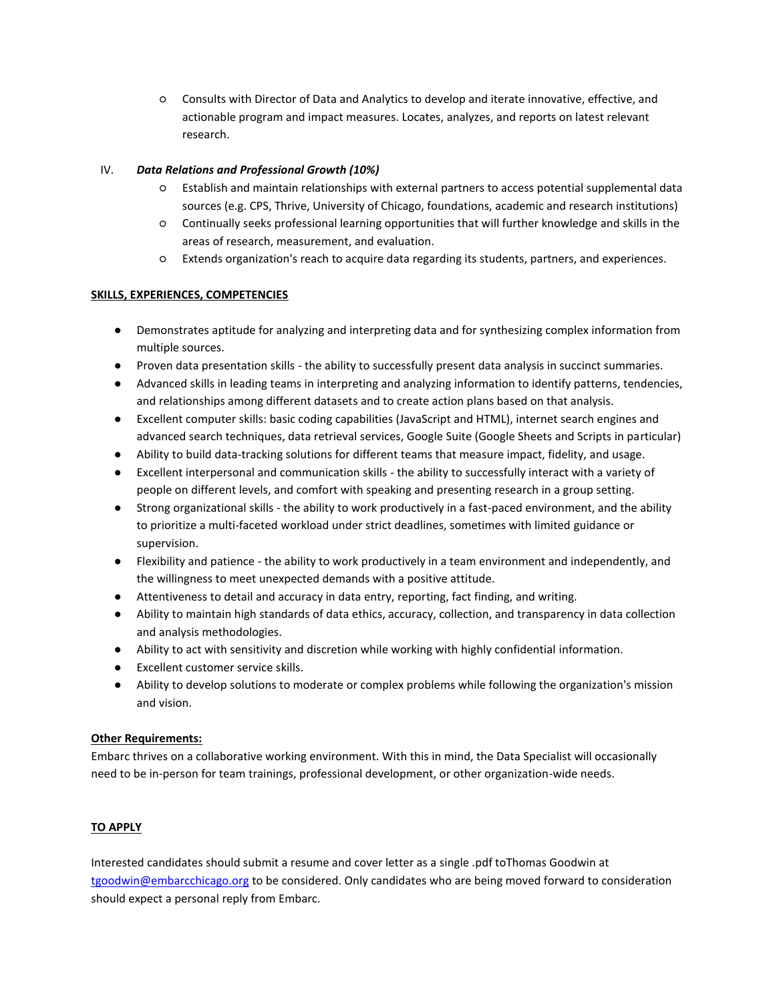○ Consults with Director of Data and Analytics to develop and iterate innovative, effective, and actionable program and impact measures. Locates, analyzes, and reports on latest relevant research.

## IV. *Data Relations and Professional Growth (10%)*

- Establish and maintain relationships with external partners to access potential supplemental data sources (e.g. CPS, Thrive, University of Chicago, foundations, academic and research institutions)
- Continually seeks professional learning opportunities that will further knowledge and skills in the areas of research, measurement, and evaluation.
- Extends organization's reach to acquire data regarding its students, partners, and experiences.

# **SKILLS, EXPERIENCES, COMPETENCIES**

- Demonstrates aptitude for analyzing and interpreting data and for synthesizing complex information from multiple sources.
- Proven data presentation skills the ability to successfully present data analysis in succinct summaries.
- Advanced skills in leading teams in interpreting and analyzing information to identify patterns, tendencies, and relationships among different datasets and to create action plans based on that analysis.
- Excellent computer skills: basic coding capabilities (JavaScript and HTML), internet search engines and advanced search techniques, data retrieval services, Google Suite (Google Sheets and Scripts in particular)
- Ability to build data-tracking solutions for different teams that measure impact, fidelity, and usage.
- Excellent interpersonal and communication skills the ability to successfully interact with a variety of people on different levels, and comfort with speaking and presenting research in a group setting.
- Strong organizational skills the ability to work productively in a fast-paced environment, and the ability to prioritize a multi-faceted workload under strict deadlines, sometimes with limited guidance or supervision.
- Flexibility and patience the ability to work productively in a team environment and independently, and the willingness to meet unexpected demands with a positive attitude.
- Attentiveness to detail and accuracy in data entry, reporting, fact finding, and writing.
- Ability to maintain high standards of data ethics, accuracy, collection, and transparency in data collection and analysis methodologies.
- Ability to act with sensitivity and discretion while working with highly confidential information.
- Excellent customer service skills.
- Ability to develop solutions to moderate or complex problems while following the organization's mission and vision.

# **Other Requirements:**

Embarc thrives on a collaborative working environment. With this in mind, the Data Specialist will occasionally need to be in-person for team trainings, professional development, or other organization-wide needs.

# **TO APPLY**

Interested candidates should submit a resume and cover letter as a single .pdf toThomas Goodwin at [tgoodwin@embarcchicago.org](mailto:tgoodwin@embarcchicago.org) to be considered. Only candidates who are being moved forward to consideration should expect a personal reply from Embarc.